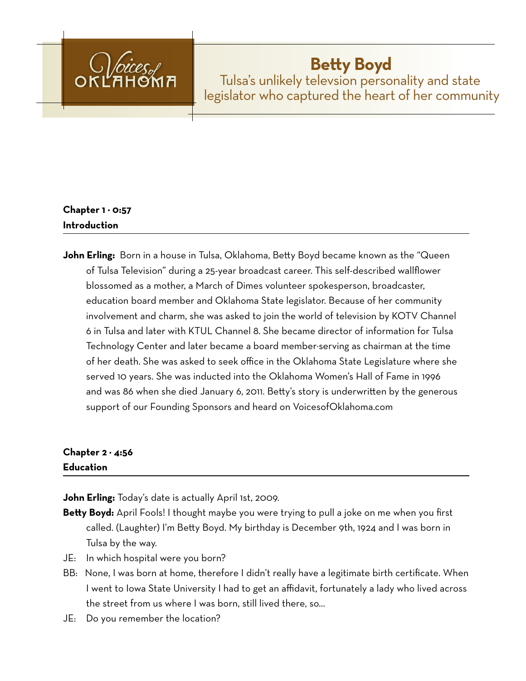

# **Betty Boyd**

Tulsa's unlikely televsion personality and state legislator who captured the heart of her community

## **Chapter 1 − 0:57 Introduction**

**John Erling:** Born in a house in Tulsa, Oklahoma, Betty Boyd became known as the "Queen of Tulsa Television" during a 25-year broadcast career. This self-described wallflower blossomed as a mother, a March of Dimes volunteer spokesperson, broadcaster, education board member and Oklahoma State legislator. Because of her community involvement and charm, she was asked to join the world of television by KOTV Channel 6 in Tulsa and later with KTUL Channel 8. She became director of information for Tulsa Technology Center and later became a board member−serving as chairman at the time of her death. She was asked to seek office in the Oklahoma State Legislature where she served 10 years. She was inducted into the Oklahoma Women's Hall of Fame in 1996 and was 86 when she died January 6, 2011. Betty's story is underwritten by the generous support of our Founding Sponsors and heard on VoicesofOklahoma.com

## **Chapter 2 − 4:56 Education**

**John Erling:** Today's date is actually April 1st, 2009.

- **Betty Boyd:** April Fools! I thought maybe you were trying to pull a joke on me when you first called. (Laughter) I'm Betty Boyd. My birthday is December 9th, 1924 and I was born in Tulsa by the way.
- JE: In which hospital were you born?
- BB: None, I was born at home, therefore I didn't really have a legitimate birth certificate. When I went to Iowa State University I had to get an affidavit, fortunately a lady who lived across the street from us where I was born, still lived there, so…
- JE: Do you remember the location?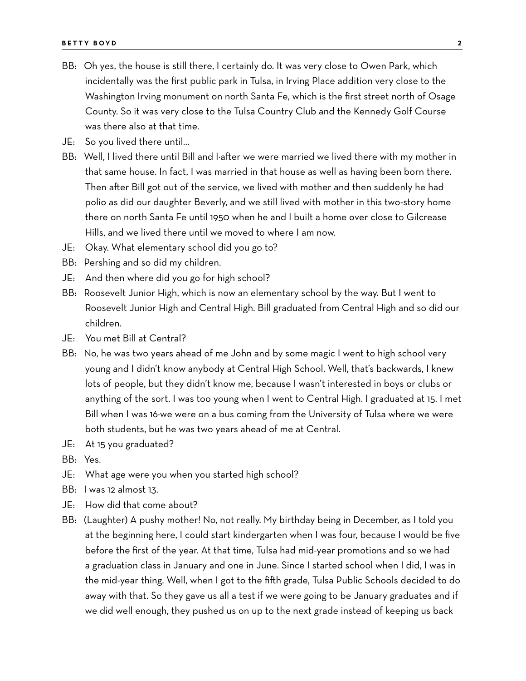- BB: Oh yes, the house is still there, I certainly do. It was very close to Owen Park, which incidentally was the first public park in Tulsa, in Irving Place addition very close to the Washington Irving monument on north Santa Fe, which is the first street north of Osage County. So it was very close to the Tulsa Country Club and the Kennedy Golf Course was there also at that time.
- JE: So you lived there until…
- BB: Well, I lived there until Bill and I−after we were married we lived there with my mother in that same house. In fact, I was married in that house as well as having been born there. Then after Bill got out of the service, we lived with mother and then suddenly he had polio as did our daughter Beverly, and we still lived with mother in this two-story home there on north Santa Fe until 1950 when he and I built a home over close to Gilcrease Hills, and we lived there until we moved to where I am now.
- JE: Okay. What elementary school did you go to?
- BB: Pershing and so did my children.
- JE: And then where did you go for high school?
- BB: Roosevelt Junior High, which is now an elementary school by the way. But I went to Roosevelt Junior High and Central High. Bill graduated from Central High and so did our children.
- JE: You met Bill at Central?
- BB: No, he was two years ahead of me John and by some magic I went to high school very young and I didn't know anybody at Central High School. Well, that's backwards, I knew lots of people, but they didn't know me, because I wasn't interested in boys or clubs or anything of the sort. I was too young when I went to Central High. I graduated at 15. I met Bill when I was 16−we were on a bus coming from the University of Tulsa where we were both students, but he was two years ahead of me at Central.
- JE: At 15 you graduated?
- BB: Yes.
- JE: What age were you when you started high school?
- BB: I was 12 almost 13.
- JE: How did that come about?
- BB: (Laughter) A pushy mother! No, not really. My birthday being in December, as I told you at the beginning here, I could start kindergarten when I was four, because I would be five before the first of the year. At that time, Tulsa had mid-year promotions and so we had a graduation class in January and one in June. Since I started school when I did, I was in the mid-year thing. Well, when I got to the fifth grade, Tulsa Public Schools decided to do away with that. So they gave us all a test if we were going to be January graduates and if we did well enough, they pushed us on up to the next grade instead of keeping us back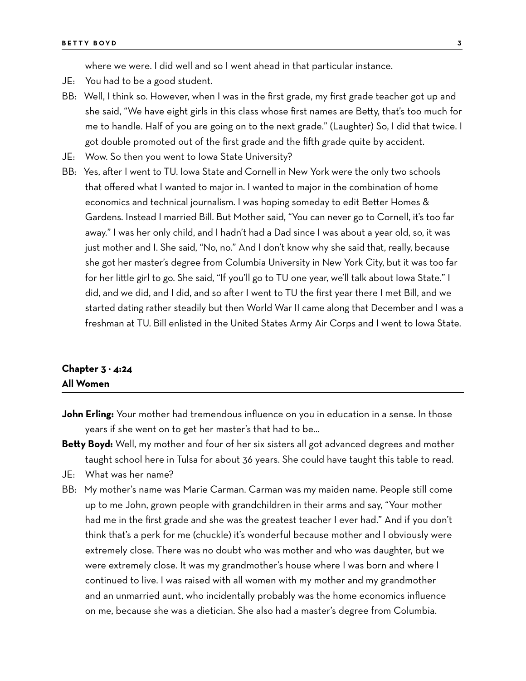where we were. I did well and so I went ahead in that particular instance.

- JE: You had to be a good student.
- BB: Well, I think so. However, when I was in the first grade, my first grade teacher got up and she said, "We have eight girls in this class whose first names are Betty, that's too much for me to handle. Half of you are going on to the next grade." (Laughter) So, I did that twice. I got double promoted out of the first grade and the fifth grade quite by accident.
- JE: Wow. So then you went to Iowa State University?
- BB: Yes, after I went to TU. Iowa State and Cornell in New York were the only two schools that offered what I wanted to major in. I wanted to major in the combination of home economics and technical journalism. I was hoping someday to edit Better Homes & Gardens. Instead I married Bill. But Mother said, "You can never go to Cornell, it's too far away." I was her only child, and I hadn't had a Dad since I was about a year old, so, it was just mother and I. She said, "No, no." And I don't know why she said that, really, because she got her master's degree from Columbia University in New York City, but it was too far for her little girl to go. She said, "If you'll go to TU one year, we'll talk about Iowa State." I did, and we did, and I did, and so after I went to TU the first year there I met Bill, and we started dating rather steadily but then World War II came along that December and I was a freshman at TU. Bill enlisted in the United States Army Air Corps and I went to Iowa State.

#### **Chapter 3 − 4:24 All Women**

- **John Erling:** Your mother had tremendous influence on you in education in a sense. In those years if she went on to get her master's that had to be…
- **Betty Boyd:** Well, my mother and four of her six sisters all got advanced degrees and mother taught school here in Tulsa for about 36 years. She could have taught this table to read.
- JE: What was her name?
- BB: My mother's name was Marie Carman. Carman was my maiden name. People still come up to me John, grown people with grandchildren in their arms and say, "Your mother had me in the first grade and she was the greatest teacher I ever had." And if you don't think that's a perk for me (chuckle) it's wonderful because mother and I obviously were extremely close. There was no doubt who was mother and who was daughter, but we were extremely close. It was my grandmother's house where I was born and where I continued to live. I was raised with all women with my mother and my grandmother and an unmarried aunt, who incidentally probably was the home economics influence on me, because she was a dietician. She also had a master's degree from Columbia.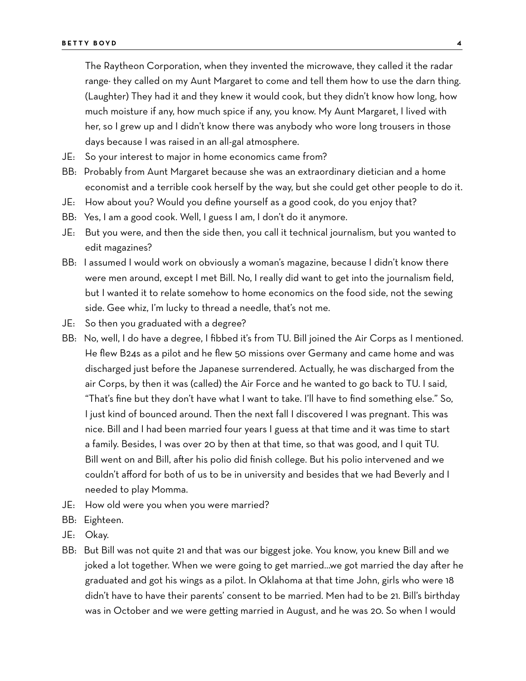The Raytheon Corporation, when they invented the microwave, they called it the radar range− they called on my Aunt Margaret to come and tell them how to use the darn thing. (Laughter) They had it and they knew it would cook, but they didn't know how long, how much moisture if any, how much spice if any, you know. My Aunt Margaret, I lived with her, so I grew up and I didn't know there was anybody who wore long trousers in those days because I was raised in an all-gal atmosphere.

- JE: So your interest to major in home economics came from?
- BB: Probably from Aunt Margaret because she was an extraordinary dietician and a home economist and a terrible cook herself by the way, but she could get other people to do it.
- JE: How about you? Would you define yourself as a good cook, do you enjoy that?
- BB: Yes, I am a good cook. Well, I guess I am, I don't do it anymore.
- JE: But you were, and then the side then, you call it technical journalism, but you wanted to edit magazines?
- BB: I assumed I would work on obviously a woman's magazine, because I didn't know there were men around, except I met Bill. No, I really did want to get into the journalism field, but I wanted it to relate somehow to home economics on the food side, not the sewing side. Gee whiz, I'm lucky to thread a needle, that's not me.
- JE: So then you graduated with a degree?
- BB: No, well, I do have a degree, I fibbed it's from TU. Bill joined the Air Corps as I mentioned. He flew B24s as a pilot and he flew 50 missions over Germany and came home and was discharged just before the Japanese surrendered. Actually, he was discharged from the air Corps, by then it was (called) the Air Force and he wanted to go back to TU. I said, "That's fine but they don't have what I want to take. I'll have to find something else." So, I just kind of bounced around. Then the next fall I discovered I was pregnant. This was nice. Bill and I had been married four years I guess at that time and it was time to start a family. Besides, I was over 20 by then at that time, so that was good, and I quit TU. Bill went on and Bill, after his polio did finish college. But his polio intervened and we couldn't afford for both of us to be in university and besides that we had Beverly and I needed to play Momma.
- JE: How old were you when you were married?
- BB: Eighteen.
- JE: Okay.
- BB: But Bill was not quite 21 and that was our biggest joke. You know, you knew Bill and we joked a lot together. When we were going to get married…we got married the day after he graduated and got his wings as a pilot. In Oklahoma at that time John, girls who were 18 didn't have to have their parents' consent to be married. Men had to be 21. Bill's birthday was in October and we were getting married in August, and he was 20. So when I would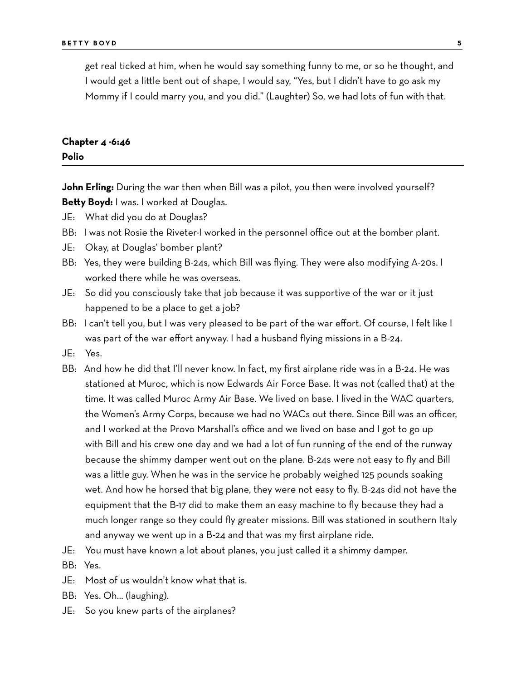get real ticked at him, when he would say something funny to me, or so he thought, and I would get a little bent out of shape, I would say, "Yes, but I didn't have to go ask my Mommy if I could marry you, and you did." (Laughter) So, we had lots of fun with that.

## **Chapter 4 −6:46**

#### **Polio**

**John Erling:** During the war then when Bill was a pilot, you then were involved yourself? **Betty Boyd:** I was. I worked at Douglas.

- JE: What did you do at Douglas?
- BB: I was not Rosie the Riveter-I worked in the personnel office out at the bomber plant.
- JE: Okay, at Douglas' bomber plant?
- BB: Yes, they were building B-24s, which Bill was flying. They were also modifying A-20s. I worked there while he was overseas.
- JE: So did you consciously take that job because it was supportive of the war or it just happened to be a place to get a job?
- BB: I can't tell you, but I was very pleased to be part of the war effort. Of course, I felt like I was part of the war effort anyway. I had a husband flying missions in a B-24.
- JE: Yes.
- BB: And how he did that I'll never know. In fact, my first airplane ride was in a B-24. He was stationed at Muroc, which is now Edwards Air Force Base. It was not (called that) at the time. It was called Muroc Army Air Base. We lived on base. I lived in the WAC quarters, the Women's Army Corps, because we had no WACs out there. Since Bill was an officer, and I worked at the Provo Marshall's office and we lived on base and I got to go up with Bill and his crew one day and we had a lot of fun running of the end of the runway because the shimmy damper went out on the plane. B-24s were not easy to fly and Bill was a little guy. When he was in the service he probably weighed 125 pounds soaking wet. And how he horsed that big plane, they were not easy to fly. B-24s did not have the equipment that the B-17 did to make them an easy machine to fly because they had a much longer range so they could fly greater missions. Bill was stationed in southern Italy and anyway we went up in a B-24 and that was my first airplane ride.
- JE: You must have known a lot about planes, you just called it a shimmy damper.
- BB: Yes.
- JE: Most of us wouldn't know what that is.
- BB: Yes. Oh… (laughing).
- JE: So you knew parts of the airplanes?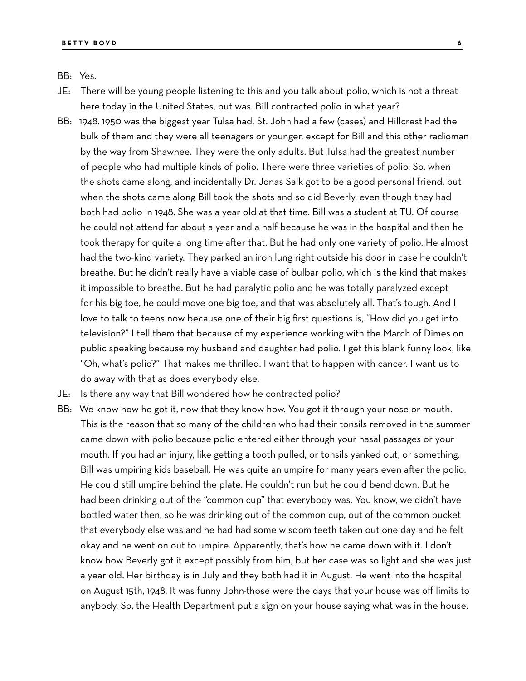BB: Yes.

- JE: There will be young people listening to this and you talk about polio, which is not a threat here today in the United States, but was. Bill contracted polio in what year?
- BB: 1948. 1950 was the biggest year Tulsa had. St. John had a few (cases) and Hillcrest had the bulk of them and they were all teenagers or younger, except for Bill and this other radioman by the way from Shawnee. They were the only adults. But Tulsa had the greatest number of people who had multiple kinds of polio. There were three varieties of polio. So, when the shots came along, and incidentally Dr. Jonas Salk got to be a good personal friend, but when the shots came along Bill took the shots and so did Beverly, even though they had both had polio in 1948. She was a year old at that time. Bill was a student at TU. Of course he could not attend for about a year and a half because he was in the hospital and then he took therapy for quite a long time after that. But he had only one variety of polio. He almost had the two-kind variety. They parked an iron lung right outside his door in case he couldn't breathe. But he didn't really have a viable case of bulbar polio, which is the kind that makes it impossible to breathe. But he had paralytic polio and he was totally paralyzed except for his big toe, he could move one big toe, and that was absolutely all. That's tough. And I love to talk to teens now because one of their big first questions is, "How did you get into television?" I tell them that because of my experience working with the March of Dimes on public speaking because my husband and daughter had polio. I get this blank funny look, like "Oh, what's polio?" That makes me thrilled. I want that to happen with cancer. I want us to do away with that as does everybody else.
- JE: Is there any way that Bill wondered how he contracted polio?
- BB: We know how he got it, now that they know how. You got it through your nose or mouth. This is the reason that so many of the children who had their tonsils removed in the summer came down with polio because polio entered either through your nasal passages or your mouth. If you had an injury, like getting a tooth pulled, or tonsils yanked out, or something. Bill was umpiring kids baseball. He was quite an umpire for many years even after the polio. He could still umpire behind the plate. He couldn't run but he could bend down. But he had been drinking out of the "common cup" that everybody was. You know, we didn't have bottled water then, so he was drinking out of the common cup, out of the common bucket that everybody else was and he had had some wisdom teeth taken out one day and he felt okay and he went on out to umpire. Apparently, that's how he came down with it. I don't know how Beverly got it except possibly from him, but her case was so light and she was just a year old. Her birthday is in July and they both had it in August. He went into the hospital on August 15th, 1948. It was funny John−those were the days that your house was off limits to anybody. So, the Health Department put a sign on your house saying what was in the house.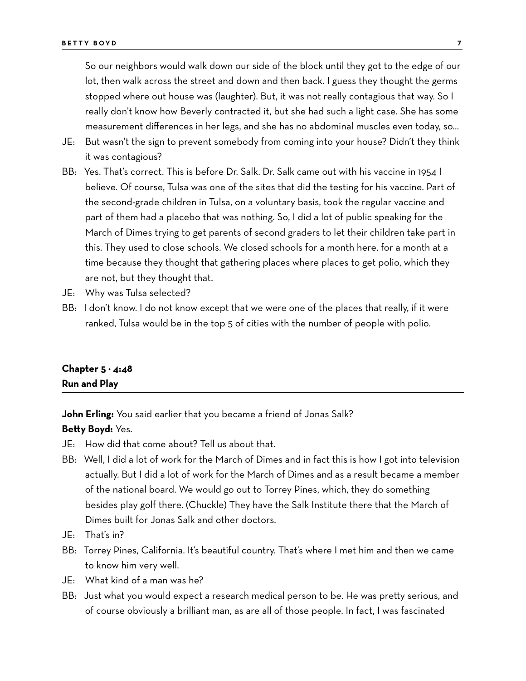So our neighbors would walk down our side of the block until they got to the edge of our lot, then walk across the street and down and then back. I guess they thought the germs stopped where out house was (laughter). But, it was not really contagious that way. So I really don't know how Beverly contracted it, but she had such a light case. She has some measurement differences in her legs, and she has no abdominal muscles even today, so…

- JE: But wasn't the sign to prevent somebody from coming into your house? Didn't they think it was contagious?
- BB: Yes. That's correct. This is before Dr. Salk. Dr. Salk came out with his vaccine in 1954 I believe. Of course, Tulsa was one of the sites that did the testing for his vaccine. Part of the second-grade children in Tulsa, on a voluntary basis, took the regular vaccine and part of them had a placebo that was nothing. So, I did a lot of public speaking for the March of Dimes trying to get parents of second graders to let their children take part in this. They used to close schools. We closed schools for a month here, for a month at a time because they thought that gathering places where places to get polio, which they are not, but they thought that.
- JE: Why was Tulsa selected?
- BB: I don't know. I do not know except that we were one of the places that really, if it were ranked, Tulsa would be in the top 5 of cities with the number of people with polio.

### **Chapter 5 − 4:48 Run and Play**

**John Erling:** You said earlier that you became a friend of Jonas Salk?

#### **Betty Boyd:** Yes.

- JE: How did that come about? Tell us about that.
- BB: Well, I did a lot of work for the March of Dimes and in fact this is how I got into television actually. But I did a lot of work for the March of Dimes and as a result became a member of the national board. We would go out to Torrey Pines, which, they do something besides play golf there. (Chuckle) They have the Salk Institute there that the March of Dimes built for Jonas Salk and other doctors.
- JE: That's in?
- BB: Torrey Pines, California. It's beautiful country. That's where I met him and then we came to know him very well.
- JE: What kind of a man was he?
- BB: Just what you would expect a research medical person to be. He was pretty serious, and of course obviously a brilliant man, as are all of those people. In fact, I was fascinated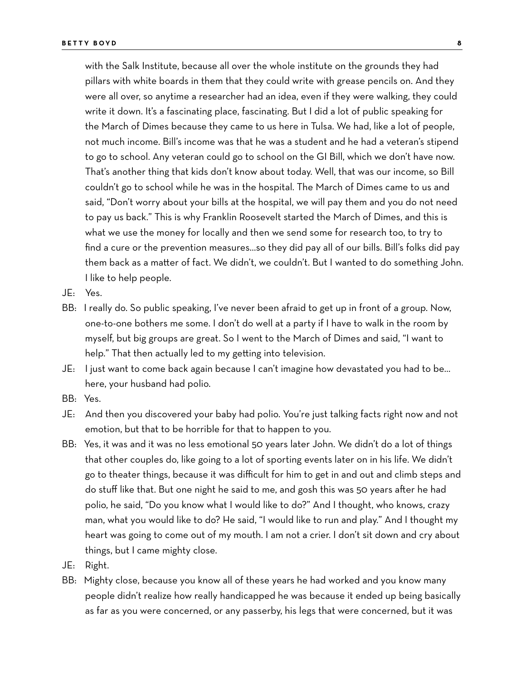with the Salk Institute, because all over the whole institute on the grounds they had pillars with white boards in them that they could write with grease pencils on. And they were all over, so anytime a researcher had an idea, even if they were walking, they could write it down. It's a fascinating place, fascinating. But I did a lot of public speaking for the March of Dimes because they came to us here in Tulsa. We had, like a lot of people, not much income. Bill's income was that he was a student and he had a veteran's stipend to go to school. Any veteran could go to school on the GI Bill, which we don't have now. That's another thing that kids don't know about today. Well, that was our income, so Bill couldn't go to school while he was in the hospital. The March of Dimes came to us and said, "Don't worry about your bills at the hospital, we will pay them and you do not need to pay us back." This is why Franklin Roosevelt started the March of Dimes, and this is what we use the money for locally and then we send some for research too, to try to find a cure or the prevention measures…so they did pay all of our bills. Bill's folks did pay them back as a matter of fact. We didn't, we couldn't. But I wanted to do something John. I like to help people.

- JE: Yes.
- BB: I really do. So public speaking, I've never been afraid to get up in front of a group. Now, one-to-one bothers me some. I don't do well at a party if I have to walk in the room by myself, but big groups are great. So I went to the March of Dimes and said, "I want to help." That then actually led to my getting into television.
- JE: I just want to come back again because I can't imagine how devastated you had to be… here, your husband had polio.
- BB: Yes.
- JE: And then you discovered your baby had polio. You're just talking facts right now and not emotion, but that to be horrible for that to happen to you.
- BB: Yes, it was and it was no less emotional 50 years later John. We didn't do a lot of things that other couples do, like going to a lot of sporting events later on in his life. We didn't go to theater things, because it was difficult for him to get in and out and climb steps and do stuff like that. But one night he said to me, and gosh this was 50 years after he had polio, he said, "Do you know what I would like to do?" And I thought, who knows, crazy man, what you would like to do? He said, "I would like to run and play." And I thought my heart was going to come out of my mouth. I am not a crier. I don't sit down and cry about things, but I came mighty close.
- JE: Right.
- BB: Mighty close, because you know all of these years he had worked and you know many people didn't realize how really handicapped he was because it ended up being basically as far as you were concerned, or any passerby, his legs that were concerned, but it was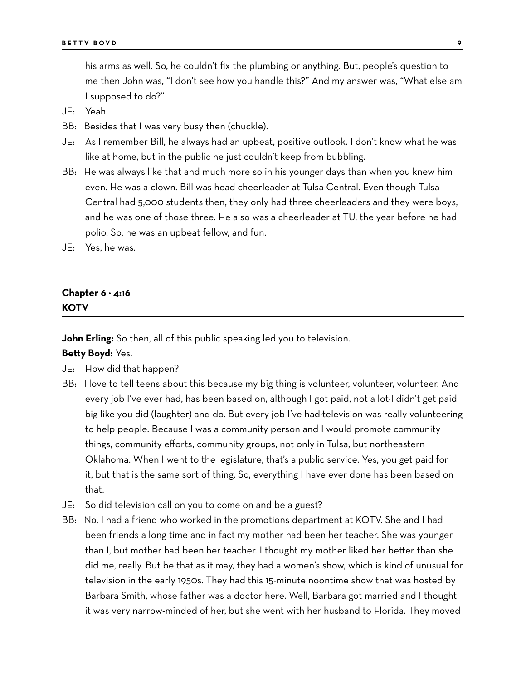his arms as well. So, he couldn't fix the plumbing or anything. But, people's question to me then John was, "I don't see how you handle this?" And my answer was, "What else am I supposed to do?"

- JE: Yeah.
- BB: Besides that I was very busy then (chuckle).
- JE: As I remember Bill, he always had an upbeat, positive outlook. I don't know what he was like at home, but in the public he just couldn't keep from bubbling.
- BB: He was always like that and much more so in his younger days than when you knew him even. He was a clown. Bill was head cheerleader at Tulsa Central. Even though Tulsa Central had 5,000 students then, they only had three cheerleaders and they were boys, and he was one of those three. He also was a cheerleader at TU, the year before he had polio. So, he was an upbeat fellow, and fun.
- JE: Yes, he was.

### **Chapter 6 − 4:16 KOTV**

**John Erling:** So then, all of this public speaking led you to television.

**Betty Boyd:** Yes.

- JE: How did that happen?
- BB: I love to tell teens about this because my big thing is volunteer, volunteer, volunteer. And every job I've ever had, has been based on, although I got paid, not a lot−I didn't get paid big like you did (laughter) and do. But every job I've had−television was really volunteering to help people. Because I was a community person and I would promote community things, community efforts, community groups, not only in Tulsa, but northeastern Oklahoma. When I went to the legislature, that's a public service. Yes, you get paid for it, but that is the same sort of thing. So, everything I have ever done has been based on that.
- JE: So did television call on you to come on and be a guest?
- BB: No, I had a friend who worked in the promotions department at KOTV. She and I had been friends a long time and in fact my mother had been her teacher. She was younger than I, but mother had been her teacher. I thought my mother liked her better than she did me, really. But be that as it may, they had a women's show, which is kind of unusual for television in the early 1950s. They had this 15-minute noontime show that was hosted by Barbara Smith, whose father was a doctor here. Well, Barbara got married and I thought it was very narrow-minded of her, but she went with her husband to Florida. They moved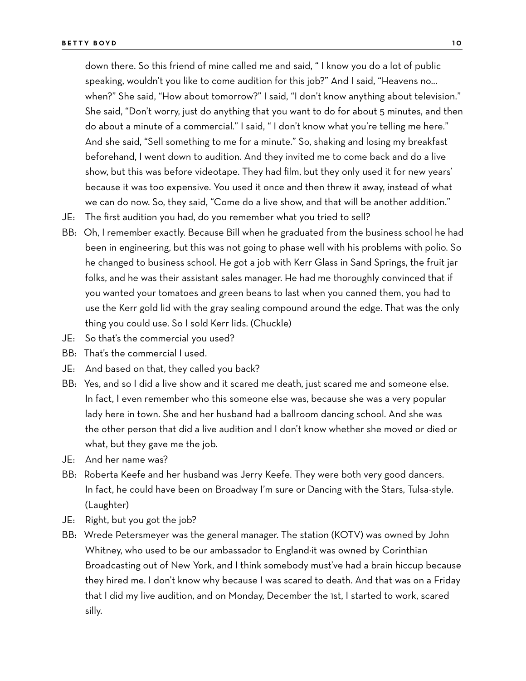down there. So this friend of mine called me and said, " I know you do a lot of public speaking, wouldn't you like to come audition for this job?" And I said, "Heavens no… when?" She said, "How about tomorrow?" I said, "I don't know anything about television." She said, "Don't worry, just do anything that you want to do for about 5 minutes, and then do about a minute of a commercial." I said, " I don't know what you're telling me here." And she said, "Sell something to me for a minute." So, shaking and losing my breakfast beforehand, I went down to audition. And they invited me to come back and do a live show, but this was before videotape. They had film, but they only used it for new years' because it was too expensive. You used it once and then threw it away, instead of what we can do now. So, they said, "Come do a live show, and that will be another addition."

- JE: The first audition you had, do you remember what you tried to sell?
- BB: Oh, I remember exactly. Because Bill when he graduated from the business school he had been in engineering, but this was not going to phase well with his problems with polio. So he changed to business school. He got a job with Kerr Glass in Sand Springs, the fruit jar folks, and he was their assistant sales manager. He had me thoroughly convinced that if you wanted your tomatoes and green beans to last when you canned them, you had to use the Kerr gold lid with the gray sealing compound around the edge. That was the only thing you could use. So I sold Kerr lids. (Chuckle)
- JE: So that's the commercial you used?
- BB: That's the commercial I used.
- JE: And based on that, they called you back?
- BB: Yes, and so I did a live show and it scared me death, just scared me and someone else. In fact, I even remember who this someone else was, because she was a very popular lady here in town. She and her husband had a ballroom dancing school. And she was the other person that did a live audition and I don't know whether she moved or died or what, but they gave me the job.
- JE: And her name was?
- BB: Roberta Keefe and her husband was Jerry Keefe. They were both very good dancers. In fact, he could have been on Broadway I'm sure or Dancing with the Stars, Tulsa-style. (Laughter)
- JE: Right, but you got the job?
- BB: Wrede Petersmeyer was the general manager. The station (KOTV) was owned by John Whitney, who used to be our ambassador to England−it was owned by Corinthian Broadcasting out of New York, and I think somebody must've had a brain hiccup because they hired me. I don't know why because I was scared to death. And that was on a Friday that I did my live audition, and on Monday, December the 1st, I started to work, scared silly.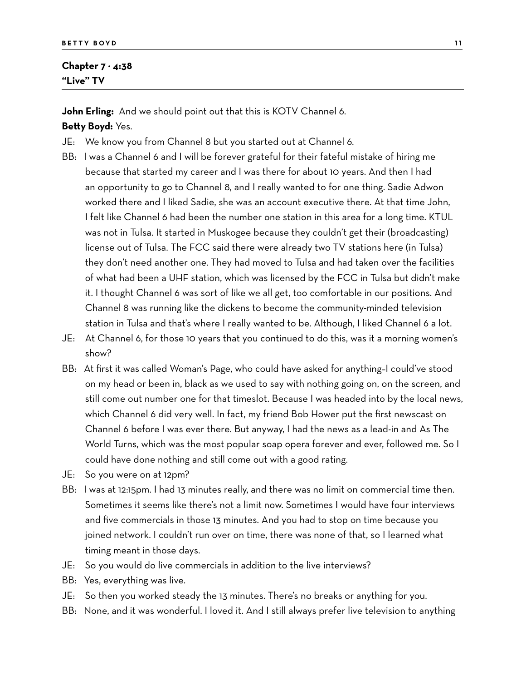#### **Chapter 7 − 4:38 "Live" TV**

**John Erling:** And we should point out that this is KOTV Channel 6. **Betty Boyd:** Yes.

- JE: We know you from Channel 8 but you started out at Channel 6.
- BB: I was a Channel 6 and I will be forever grateful for their fateful mistake of hiring me because that started my career and I was there for about 10 years. And then I had an opportunity to go to Channel 8, and I really wanted to for one thing. Sadie Adwon worked there and I liked Sadie, she was an account executive there. At that time John, I felt like Channel 6 had been the number one station in this area for a long time. KTUL was not in Tulsa. It started in Muskogee because they couldn't get their (broadcasting) license out of Tulsa. The FCC said there were already two TV stations here (in Tulsa) they don't need another one. They had moved to Tulsa and had taken over the facilities of what had been a UHF station, which was licensed by the FCC in Tulsa but didn't make it. I thought Channel 6 was sort of like we all get, too comfortable in our positions. And Channel 8 was running like the dickens to become the community-minded television station in Tulsa and that's where I really wanted to be. Although, I liked Channel 6 a lot.
- JE: At Channel 6, for those 10 years that you continued to do this, was it a morning women's show?
- BB: At first it was called Woman's Page, who could have asked for anything–I could've stood on my head or been in, black as we used to say with nothing going on, on the screen, and still come out number one for that timeslot. Because I was headed into by the local news, which Channel 6 did very well. In fact, my friend Bob Hower put the first newscast on Channel 6 before I was ever there. But anyway, I had the news as a lead-in and As The World Turns, which was the most popular soap opera forever and ever, followed me. So I could have done nothing and still come out with a good rating.
- JE: So you were on at 12pm?
- BB: I was at 12:15pm. I had 13 minutes really, and there was no limit on commercial time then. Sometimes it seems like there's not a limit now. Sometimes I would have four interviews and five commercials in those 13 minutes. And you had to stop on time because you joined network. I couldn't run over on time, there was none of that, so I learned what timing meant in those days.
- JE: So you would do live commercials in addition to the live interviews?
- BB: Yes, everything was live.
- JE: So then you worked steady the 13 minutes. There's no breaks or anything for you.
- BB: None, and it was wonderful. I loved it. And I still always prefer live television to anything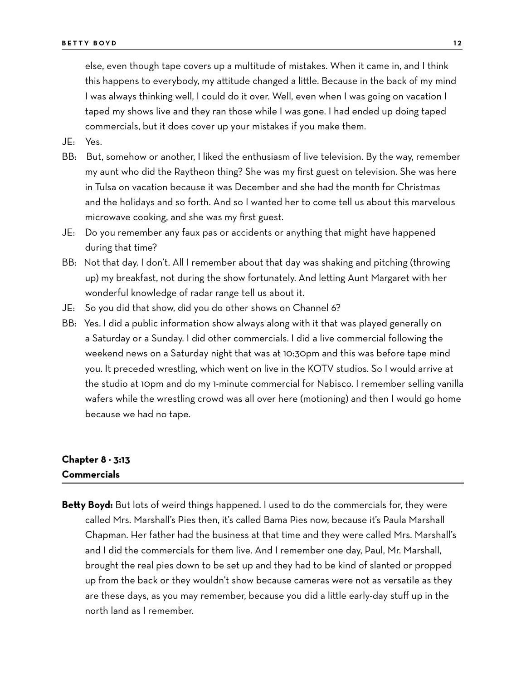else, even though tape covers up a multitude of mistakes. When it came in, and I think this happens to everybody, my attitude changed a little. Because in the back of my mind I was always thinking well, I could do it over. Well, even when I was going on vacation I taped my shows live and they ran those while I was gone. I had ended up doing taped commercials, but it does cover up your mistakes if you make them.

JE: Yes.

- BB: But, somehow or another, I liked the enthusiasm of live television. By the way, remember my aunt who did the Raytheon thing? She was my first guest on television. She was here in Tulsa on vacation because it was December and she had the month for Christmas and the holidays and so forth. And so I wanted her to come tell us about this marvelous microwave cooking, and she was my first guest.
- JE: Do you remember any faux pas or accidents or anything that might have happened during that time?
- BB: Not that day. I don't. All I remember about that day was shaking and pitching (throwing up) my breakfast, not during the show fortunately. And letting Aunt Margaret with her wonderful knowledge of radar range tell us about it.
- JE: So you did that show, did you do other shows on Channel 6?
- BB: Yes. I did a public information show always along with it that was played generally on a Saturday or a Sunday. I did other commercials. I did a live commercial following the weekend news on a Saturday night that was at 10:30pm and this was before tape mind you. It preceded wrestling, which went on live in the KOTV studios. So I would arrive at the studio at 10pm and do my 1-minute commercial for Nabisco. I remember selling vanilla wafers while the wrestling crowd was all over here (motioning) and then I would go home because we had no tape.

### **Chapter 8 − 3:13 Commercials**

**Betty Boyd:** But lots of weird things happened. I used to do the commercials for, they were called Mrs. Marshall's Pies then, it's called Bama Pies now, because it's Paula Marshall Chapman. Her father had the business at that time and they were called Mrs. Marshall's and I did the commercials for them live. And I remember one day, Paul, Mr. Marshall, brought the real pies down to be set up and they had to be kind of slanted or propped up from the back or they wouldn't show because cameras were not as versatile as they are these days, as you may remember, because you did a little early-day stuff up in the north land as I remember.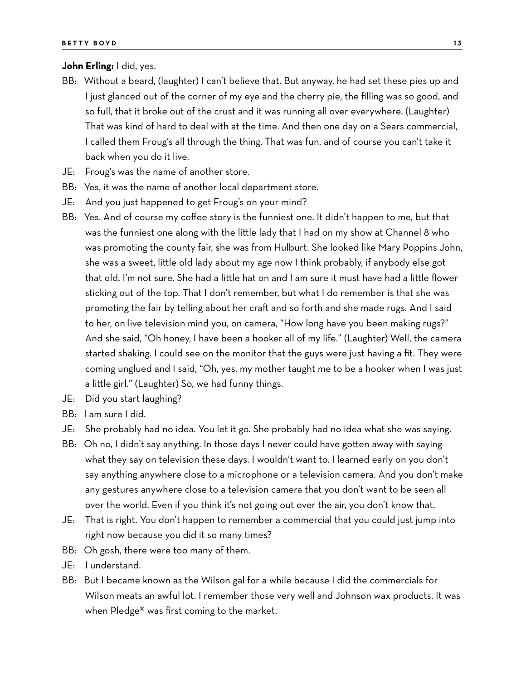#### **John Erling:** I did, yes.

- BB: Without a beard, (laughter) I can't believe that. But anyway, he had set these pies up and I just glanced out of the corner of my eye and the cherry pie, the filling was so good, and so full, that it broke out of the crust and it was running all over everywhere. (Laughter) That was kind of hard to deal with at the time. And then one day on a Sears commercial, I called them Froug's all through the thing. That was fun, and of course you can't take it back when you do it live.
- JE: Froug's was the name of another store.
- BB: Yes, it was the name of another local department store.
- JE: And you just happened to get Froug's on your mind?
- BB: Yes. And of course my coffee story is the funniest one. It didn't happen to me, but that was the funniest one along with the little lady that I had on my show at Channel 8 who was promoting the county fair, she was from Hulburt. She looked like Mary Poppins John, she was a sweet, little old lady about my age now I think probably, if anybody else got that old, I'm not sure. She had a little hat on and I am sure it must have had a little flower sticking out of the top. That I don't remember, but what I do remember is that she was promoting the fair by telling about her craft and so forth and she made rugs. And I said to her, on live television mind you, on camera, "How long have you been making rugs?" And she said, "Oh honey, I have been a hooker all of my life." (Laughter) Well, the camera started shaking. I could see on the monitor that the guys were just having a fit. They were coming unglued and I said, "Oh, yes, my mother taught me to be a hooker when I was just a little girl." (Laughter) So, we had funny things.
- JE: Did you start laughing?
- BB: I am sure I did.
- JE: She probably had no idea. You let it go. She probably had no idea what she was saying.
- BB: Oh no, I didn't say anything. In those days I never could have gotten away with saying what they say on television these days. I wouldn't want to. I learned early on you don't say anything anywhere close to a microphone or a television camera. And you don't make any gestures anywhere close to a television camera that you don't want to be seen all over the world. Even if you think it's not going out over the air, you don't know that.
- JE: That is right. You don't happen to remember a commercial that you could just jump into right now because you did it so many times?
- BB: Oh gosh, there were too many of them.
- JE: I understand.
- BB: But I became known as the Wilson gal for a while because I did the commercials for Wilson meats an awful lot. I remember those very well and Johnson wax products. It was when Pledge® was first coming to the market.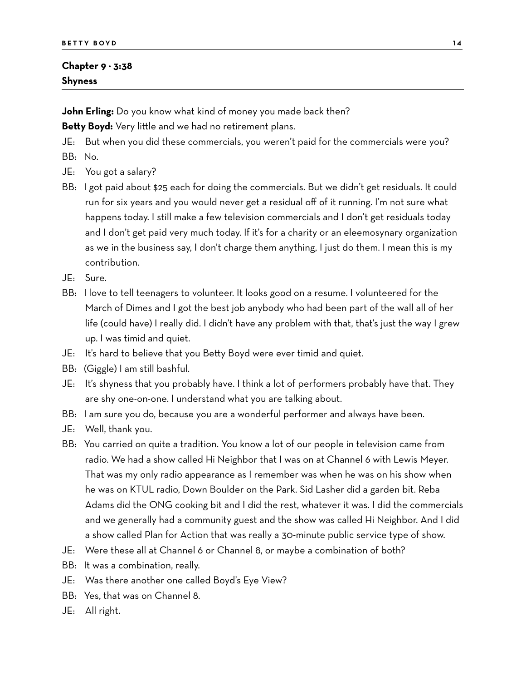### **Chapter 9 − 3:38 Shyness**

**John Erling:** Do you know what kind of money you made back then?

**Betty Boyd:** Very little and we had no retirement plans.

JE: But when you did these commercials, you weren't paid for the commercials were you? BB: No.

- JE: You got a salary?
- BB: I got paid about \$25 each for doing the commercials. But we didn't get residuals. It could run for six years and you would never get a residual off of it running. I'm not sure what happens today. I still make a few television commercials and I don't get residuals today and I don't get paid very much today. If it's for a charity or an eleemosynary organization as we in the business say, I don't charge them anything, I just do them. I mean this is my contribution.
- JE: Sure.
- BB: I love to tell teenagers to volunteer. It looks good on a resume. I volunteered for the March of Dimes and I got the best job anybody who had been part of the wall all of her life (could have) I really did. I didn't have any problem with that, that's just the way I grew up. I was timid and quiet.
- JE: It's hard to believe that you Betty Boyd were ever timid and quiet.
- BB: (Giggle) I am still bashful.
- JE: It's shyness that you probably have. I think a lot of performers probably have that. They are shy one-on-one. I understand what you are talking about.
- BB: I am sure you do, because you are a wonderful performer and always have been.
- JE: Well, thank you.
- BB: You carried on quite a tradition. You know a lot of our people in television came from radio. We had a show called Hi Neighbor that I was on at Channel 6 with Lewis Meyer. That was my only radio appearance as I remember was when he was on his show when he was on KTUL radio, Down Boulder on the Park. Sid Lasher did a garden bit. Reba Adams did the ONG cooking bit and I did the rest, whatever it was. I did the commercials and we generally had a community guest and the show was called Hi Neighbor. And I did a show called Plan for Action that was really a 30-minute public service type of show.
- JE: Were these all at Channel 6 or Channel 8, or maybe a combination of both?
- BB: It was a combination, really.
- JE: Was there another one called Boyd's Eye View?
- BB: Yes, that was on Channel 8.
- JE: All right.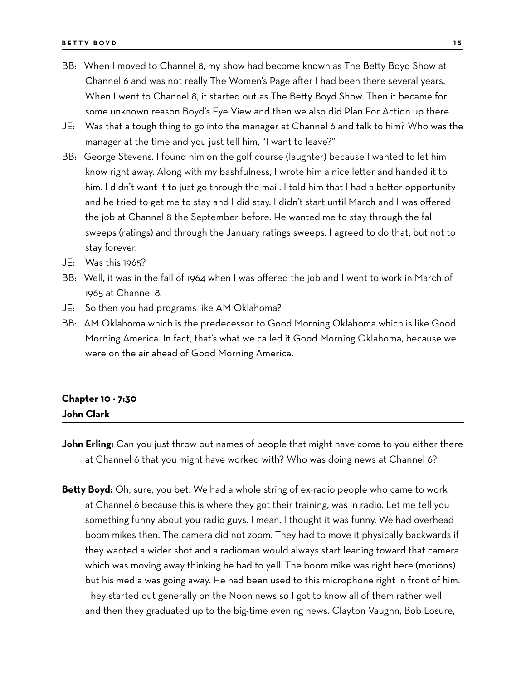- BB: When I moved to Channel 8, my show had become known as The Betty Boyd Show at Channel 6 and was not really The Women's Page after I had been there several years. When I went to Channel 8, it started out as The Betty Boyd Show. Then it became for some unknown reason Boyd's Eye View and then we also did Plan For Action up there.
- JE: Was that a tough thing to go into the manager at Channel 6 and talk to him? Who was the manager at the time and you just tell him, "I want to leave?"
- BB: George Stevens. I found him on the golf course (laughter) because I wanted to let him know right away. Along with my bashfulness, I wrote him a nice letter and handed it to him. I didn't want it to just go through the mail. I told him that I had a better opportunity and he tried to get me to stay and I did stay. I didn't start until March and I was offered the job at Channel 8 the September before. He wanted me to stay through the fall sweeps (ratings) and through the January ratings sweeps. I agreed to do that, but not to stay forever.
- JE: Was this 1965?
- BB: Well, it was in the fall of 1964 when I was offered the job and I went to work in March of 1965 at Channel 8.
- JE: So then you had programs like AM Oklahoma?
- BB: AM Oklahoma which is the predecessor to Good Morning Oklahoma which is like Good Morning America. In fact, that's what we called it Good Morning Oklahoma, because we were on the air ahead of Good Morning America.

### **Chapter 10 − 7:30 John Clark**

- **John Erling:** Can you just throw out names of people that might have come to you either there at Channel 6 that you might have worked with? Who was doing news at Channel 6?
- **Betty Boyd:** Oh, sure, you bet. We had a whole string of ex-radio people who came to work at Channel 6 because this is where they got their training, was in radio. Let me tell you something funny about you radio guys. I mean, I thought it was funny. We had overhead boom mikes then. The camera did not zoom. They had to move it physically backwards if they wanted a wider shot and a radioman would always start leaning toward that camera which was moving away thinking he had to yell. The boom mike was right here (motions) but his media was going away. He had been used to this microphone right in front of him. They started out generally on the Noon news so I got to know all of them rather well and then they graduated up to the big-time evening news. Clayton Vaughn, Bob Losure,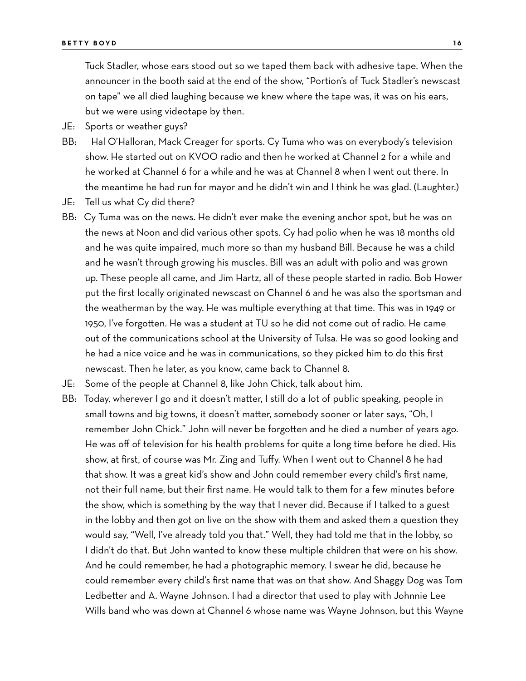Tuck Stadler, whose ears stood out so we taped them back with adhesive tape. When the announcer in the booth said at the end of the show, "Portion's of Tuck Stadler's newscast on tape" we all died laughing because we knew where the tape was, it was on his ears, but we were using videotape by then.

- JE: Sports or weather guys?
- BB: Hal O'Halloran, Mack Creager for sports. Cy Tuma who was on everybody's television show. He started out on KVOO radio and then he worked at Channel 2 for a while and he worked at Channel 6 for a while and he was at Channel 8 when I went out there. In the meantime he had run for mayor and he didn't win and I think he was glad. (Laughter.)
- JE: Tell us what Cy did there?
- BB: Cy Tuma was on the news. He didn't ever make the evening anchor spot, but he was on the news at Noon and did various other spots. Cy had polio when he was 18 months old and he was quite impaired, much more so than my husband Bill. Because he was a child and he wasn't through growing his muscles. Bill was an adult with polio and was grown up. These people all came, and Jim Hartz, all of these people started in radio. Bob Hower put the first locally originated newscast on Channel 6 and he was also the sportsman and the weatherman by the way. He was multiple everything at that time. This was in 1949 or 1950, I've forgotten. He was a student at TU so he did not come out of radio. He came out of the communications school at the University of Tulsa. He was so good looking and he had a nice voice and he was in communications, so they picked him to do this first newscast. Then he later, as you know, came back to Channel 8.
- JE: Some of the people at Channel 8, like John Chick, talk about him.
- BB: Today, wherever I go and it doesn't matter, I still do a lot of public speaking, people in small towns and big towns, it doesn't matter, somebody sooner or later says, "Oh, I remember John Chick." John will never be forgotten and he died a number of years ago. He was off of television for his health problems for quite a long time before he died. His show, at first, of course was Mr. Zing and Tuffy. When I went out to Channel 8 he had that show. It was a great kid's show and John could remember every child's first name, not their full name, but their first name. He would talk to them for a few minutes before the show, which is something by the way that I never did. Because if I talked to a guest in the lobby and then got on live on the show with them and asked them a question they would say, "Well, I've already told you that." Well, they had told me that in the lobby, so I didn't do that. But John wanted to know these multiple children that were on his show. And he could remember, he had a photographic memory. I swear he did, because he could remember every child's first name that was on that show. And Shaggy Dog was Tom Ledbetter and A. Wayne Johnson. I had a director that used to play with Johnnie Lee Wills band who was down at Channel 6 whose name was Wayne Johnson, but this Wayne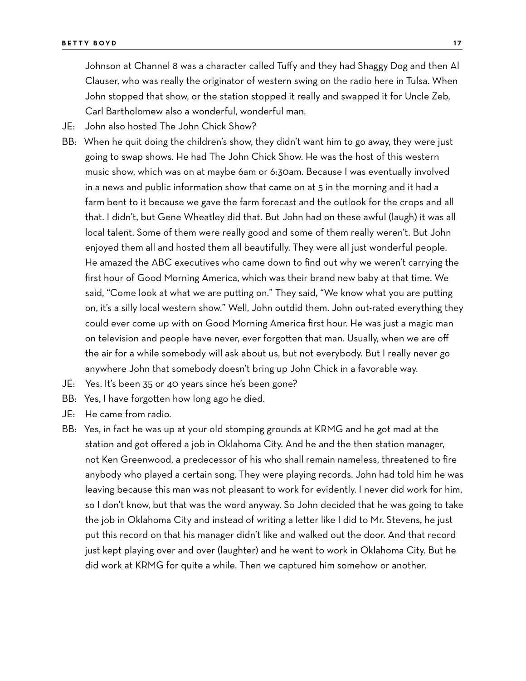Johnson at Channel 8 was a character called Tuffy and they had Shaggy Dog and then Al Clauser, who was really the originator of western swing on the radio here in Tulsa. When John stopped that show, or the station stopped it really and swapped it for Uncle Zeb, Carl Bartholomew also a wonderful, wonderful man.

- JE: John also hosted The John Chick Show?
- BB: When he quit doing the children's show, they didn't want him to go away, they were just going to swap shows. He had The John Chick Show. He was the host of this western music show, which was on at maybe 6am or 6:30am. Because I was eventually involved in a news and public information show that came on at 5 in the morning and it had a farm bent to it because we gave the farm forecast and the outlook for the crops and all that. I didn't, but Gene Wheatley did that. But John had on these awful (laugh) it was all local talent. Some of them were really good and some of them really weren't. But John enjoyed them all and hosted them all beautifully. They were all just wonderful people. He amazed the ABC executives who came down to find out why we weren't carrying the first hour of Good Morning America, which was their brand new baby at that time. We said, "Come look at what we are putting on." They said, "We know what you are putting on, it's a silly local western show." Well, John outdid them. John out-rated everything they could ever come up with on Good Morning America first hour. He was just a magic man on television and people have never, ever forgotten that man. Usually, when we are off the air for a while somebody will ask about us, but not everybody. But I really never go anywhere John that somebody doesn't bring up John Chick in a favorable way.
- JE: Yes. It's been 35 or 40 years since he's been gone?
- BB: Yes, I have forgotten how long ago he died.
- JE: He came from radio.
- BB: Yes, in fact he was up at your old stomping grounds at KRMG and he got mad at the station and got offered a job in Oklahoma City. And he and the then station manager, not Ken Greenwood, a predecessor of his who shall remain nameless, threatened to fire anybody who played a certain song. They were playing records. John had told him he was leaving because this man was not pleasant to work for evidently. I never did work for him, so I don't know, but that was the word anyway. So John decided that he was going to take the job in Oklahoma City and instead of writing a letter like I did to Mr. Stevens, he just put this record on that his manager didn't like and walked out the door. And that record just kept playing over and over (laughter) and he went to work in Oklahoma City. But he did work at KRMG for quite a while. Then we captured him somehow or another.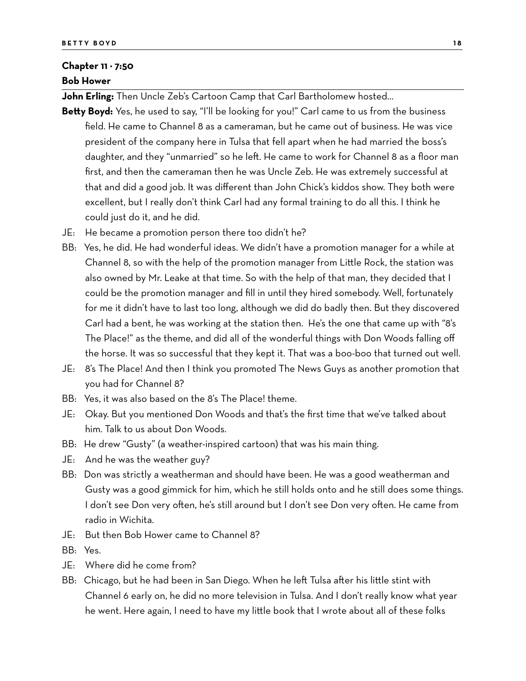#### **Chapter 11 − 7:50**

#### **Bob Hower**

**John Erling:** Then Uncle Zeb's Cartoon Camp that Carl Bartholomew hosted…

- **Betty Boyd:** Yes, he used to say, "I'll be looking for you!" Carl came to us from the business field. He came to Channel 8 as a cameraman, but he came out of business. He was vice president of the company here in Tulsa that fell apart when he had married the boss's daughter, and they "unmarried" so he left. He came to work for Channel 8 as a floor man first, and then the cameraman then he was Uncle Zeb. He was extremely successful at that and did a good job. It was different than John Chick's kiddos show. They both were excellent, but I really don't think Carl had any formal training to do all this. I think he could just do it, and he did.
- JE: He became a promotion person there too didn't he?
- BB: Yes, he did. He had wonderful ideas. We didn't have a promotion manager for a while at Channel 8, so with the help of the promotion manager from Little Rock, the station was also owned by Mr. Leake at that time. So with the help of that man, they decided that I could be the promotion manager and fill in until they hired somebody. Well, fortunately for me it didn't have to last too long, although we did do badly then. But they discovered Carl had a bent, he was working at the station then. He's the one that came up with "8's The Place!" as the theme, and did all of the wonderful things with Don Woods falling off the horse. It was so successful that they kept it. That was a boo-boo that turned out well.
- JE: 8's The Place! And then I think you promoted The News Guys as another promotion that you had for Channel 8?
- BB: Yes, it was also based on the 8's The Place! theme.
- JE: Okay. But you mentioned Don Woods and that's the first time that we've talked about him. Talk to us about Don Woods.
- BB: He drew "Gusty" (a weather-inspired cartoon) that was his main thing.
- JE: And he was the weather guy?
- BB: Don was strictly a weatherman and should have been. He was a good weatherman and Gusty was a good gimmick for him, which he still holds onto and he still does some things. I don't see Don very often, he's still around but I don't see Don very often. He came from radio in Wichita.
- JE: But then Bob Hower came to Channel 8?
- BB: Yes.
- JE: Where did he come from?
- BB: Chicago, but he had been in San Diego. When he left Tulsa after his little stint with Channel 6 early on, he did no more television in Tulsa. And I don't really know what year he went. Here again, I need to have my little book that I wrote about all of these folks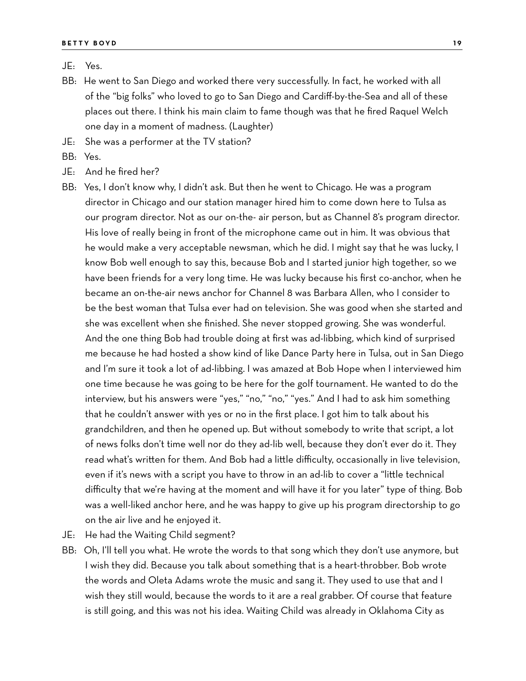#### JE: Yes.

- BB: He went to San Diego and worked there very successfully. In fact, he worked with all of the "big folks" who loved to go to San Diego and Cardiff-by-the-Sea and all of these places out there. I think his main claim to fame though was that he fired Raquel Welch one day in a moment of madness. (Laughter)
- JE: She was a performer at the TV station?
- BB: Yes.
- JE: And he fired her?
- BB: Yes, I don't know why, I didn't ask. But then he went to Chicago. He was a program director in Chicago and our station manager hired him to come down here to Tulsa as our program director. Not as our on-the- air person, but as Channel 8's program director. His love of really being in front of the microphone came out in him. It was obvious that he would make a very acceptable newsman, which he did. I might say that he was lucky, I know Bob well enough to say this, because Bob and I started junior high together, so we have been friends for a very long time. He was lucky because his first co-anchor, when he became an on-the-air news anchor for Channel 8 was Barbara Allen, who I consider to be the best woman that Tulsa ever had on television. She was good when she started and she was excellent when she finished. She never stopped growing. She was wonderful. And the one thing Bob had trouble doing at first was ad-libbing, which kind of surprised me because he had hosted a show kind of like Dance Party here in Tulsa, out in San Diego and I'm sure it took a lot of ad-libbing. I was amazed at Bob Hope when I interviewed him one time because he was going to be here for the golf tournament. He wanted to do the interview, but his answers were "yes," "no," "no," "yes." And I had to ask him something that he couldn't answer with yes or no in the first place. I got him to talk about his grandchildren, and then he opened up. But without somebody to write that script, a lot of news folks don't time well nor do they ad-lib well, because they don't ever do it. They read what's written for them. And Bob had a little difficulty, occasionally in live television, even if it's news with a script you have to throw in an ad-lib to cover a "little technical difficulty that we're having at the moment and will have it for you later" type of thing. Bob was a well-liked anchor here, and he was happy to give up his program directorship to go on the air live and he enjoyed it.
- JE: He had the Waiting Child segment?
- BB: Oh, I'll tell you what. He wrote the words to that song which they don't use anymore, but I wish they did. Because you talk about something that is a heart-throbber. Bob wrote the words and Oleta Adams wrote the music and sang it. They used to use that and I wish they still would, because the words to it are a real grabber. Of course that feature is still going, and this was not his idea. Waiting Child was already in Oklahoma City as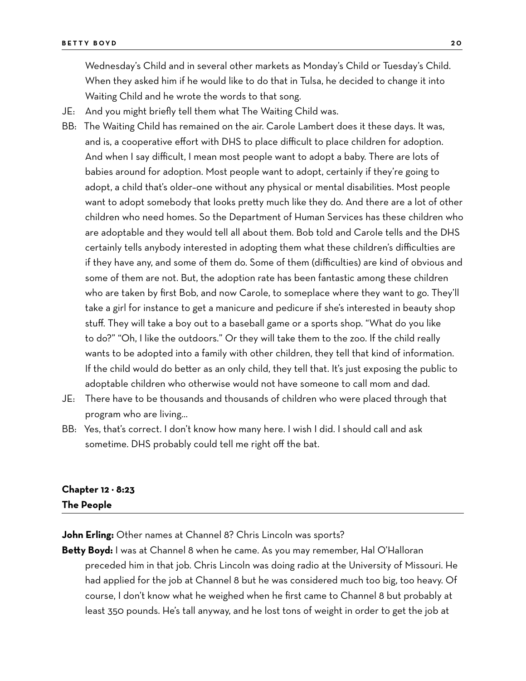Wednesday's Child and in several other markets as Monday's Child or Tuesday's Child. When they asked him if he would like to do that in Tulsa, he decided to change it into Waiting Child and he wrote the words to that song.

- JE: And you might briefly tell them what The Waiting Child was.
- BB: The Waiting Child has remained on the air. Carole Lambert does it these days. It was, and is, a cooperative effort with DHS to place difficult to place children for adoption. And when I say difficult, I mean most people want to adopt a baby. There are lots of babies around for adoption. Most people want to adopt, certainly if they're going to adopt, a child that's older–one without any physical or mental disabilities. Most people want to adopt somebody that looks pretty much like they do. And there are a lot of other children who need homes. So the Department of Human Services has these children who are adoptable and they would tell all about them. Bob told and Carole tells and the DHS certainly tells anybody interested in adopting them what these children's difficulties are if they have any, and some of them do. Some of them (difficulties) are kind of obvious and some of them are not. But, the adoption rate has been fantastic among these children who are taken by first Bob, and now Carole, to someplace where they want to go. They'll take a girl for instance to get a manicure and pedicure if she's interested in beauty shop stuff. They will take a boy out to a baseball game or a sports shop. "What do you like to do?" "Oh, I like the outdoors." Or they will take them to the zoo. If the child really wants to be adopted into a family with other children, they tell that kind of information. If the child would do better as an only child, they tell that. It's just exposing the public to adoptable children who otherwise would not have someone to call mom and dad.
- JE: There have to be thousands and thousands of children who were placed through that program who are living…
- BB: Yes, that's correct. I don't know how many here. I wish I did. I should call and ask sometime. DHS probably could tell me right off the bat.

## **Chapter 12 − 8:23 The People**

**John Erling:** Other names at Channel 8? Chris Lincoln was sports?

**Betty Boyd:** I was at Channel 8 when he came. As you may remember, Hal O'Halloran preceded him in that job. Chris Lincoln was doing radio at the University of Missouri. He had applied for the job at Channel 8 but he was considered much too big, too heavy. Of course, I don't know what he weighed when he first came to Channel 8 but probably at least 350 pounds. He's tall anyway, and he lost tons of weight in order to get the job at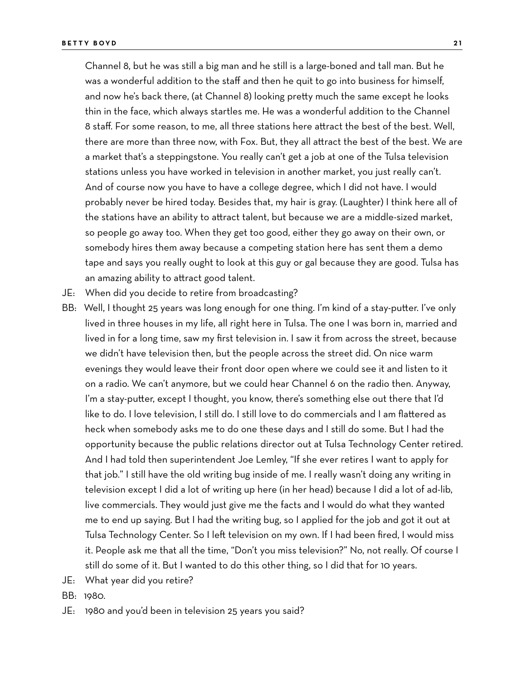Channel 8, but he was still a big man and he still is a large-boned and tall man. But he was a wonderful addition to the staff and then he quit to go into business for himself, and now he's back there, (at Channel 8) looking pretty much the same except he looks thin in the face, which always startles me. He was a wonderful addition to the Channel 8 staff. For some reason, to me, all three stations here attract the best of the best. Well, there are more than three now, with Fox. But, they all attract the best of the best. We are a market that's a steppingstone. You really can't get a job at one of the Tulsa television stations unless you have worked in television in another market, you just really can't. And of course now you have to have a college degree, which I did not have. I would probably never be hired today. Besides that, my hair is gray. (Laughter) I think here all of the stations have an ability to attract talent, but because we are a middle-sized market, so people go away too. When they get too good, either they go away on their own, or somebody hires them away because a competing station here has sent them a demo tape and says you really ought to look at this guy or gal because they are good. Tulsa has an amazing ability to attract good talent.

- JE: When did you decide to retire from broadcasting?
- BB: Well, I thought 25 years was long enough for one thing. I'm kind of a stay-putter. I've only lived in three houses in my life, all right here in Tulsa. The one I was born in, married and lived in for a long time, saw my first television in. I saw it from across the street, because we didn't have television then, but the people across the street did. On nice warm evenings they would leave their front door open where we could see it and listen to it on a radio. We can't anymore, but we could hear Channel 6 on the radio then. Anyway, I'm a stay-putter, except I thought, you know, there's something else out there that I'd like to do. I love television, I still do. I still love to do commercials and I am flattered as heck when somebody asks me to do one these days and I still do some. But I had the opportunity because the public relations director out at Tulsa Technology Center retired. And I had told then superintendent Joe Lemley, "If she ever retires I want to apply for that job." I still have the old writing bug inside of me. I really wasn't doing any writing in television except I did a lot of writing up here (in her head) because I did a lot of ad-lib, live commercials. They would just give me the facts and I would do what they wanted me to end up saying. But I had the writing bug, so I applied for the job and got it out at Tulsa Technology Center. So I left television on my own. If I had been fired, I would miss it. People ask me that all the time, "Don't you miss television?" No, not really. Of course I still do some of it. But I wanted to do this other thing, so I did that for 10 years.
- JE: What year did you retire?
- BB: 1980.
- JE: 1980 and you'd been in television 25 years you said?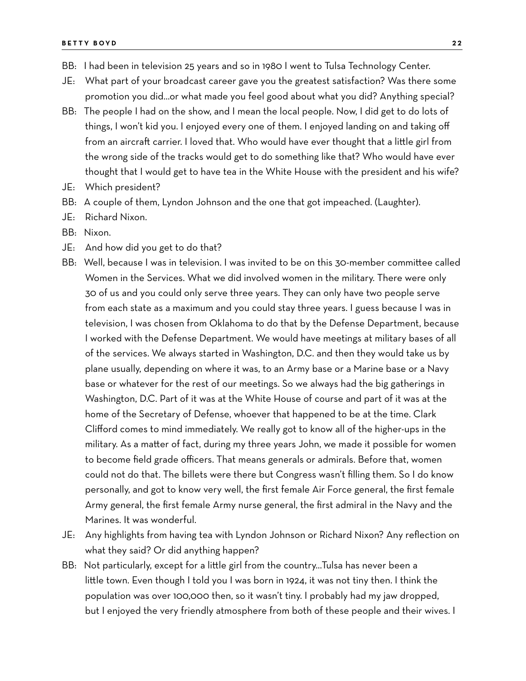- BB: I had been in television 25 years and so in 1980 I went to Tulsa Technology Center.
- JE: What part of your broadcast career gave you the greatest satisfaction? Was there some promotion you did…or what made you feel good about what you did? Anything special?
- BB: The people I had on the show, and I mean the local people. Now, I did get to do lots of things, I won't kid you. I enjoyed every one of them. I enjoyed landing on and taking off from an aircraft carrier. I loved that. Who would have ever thought that a little girl from the wrong side of the tracks would get to do something like that? Who would have ever thought that I would get to have tea in the White House with the president and his wife?
- JE: Which president?
- BB: A couple of them, Lyndon Johnson and the one that got impeached. (Laughter).
- JE: Richard Nixon.
- BB: Nixon.
- JE: And how did you get to do that?
- BB: Well, because I was in television. I was invited to be on this 30-member committee called Women in the Services. What we did involved women in the military. There were only 30 of us and you could only serve three years. They can only have two people serve from each state as a maximum and you could stay three years. I guess because I was in television, I was chosen from Oklahoma to do that by the Defense Department, because I worked with the Defense Department. We would have meetings at military bases of all of the services. We always started in Washington, D.C. and then they would take us by plane usually, depending on where it was, to an Army base or a Marine base or a Navy base or whatever for the rest of our meetings. So we always had the big gatherings in Washington, D.C. Part of it was at the White House of course and part of it was at the home of the Secretary of Defense, whoever that happened to be at the time. Clark Clifford comes to mind immediately. We really got to know all of the higher-ups in the military. As a matter of fact, during my three years John, we made it possible for women to become field grade officers. That means generals or admirals. Before that, women could not do that. The billets were there but Congress wasn't filling them. So I do know personally, and got to know very well, the first female Air Force general, the first female Army general, the first female Army nurse general, the first admiral in the Navy and the Marines. It was wonderful.
- JE: Any highlights from having tea with Lyndon Johnson or Richard Nixon? Any reflection on what they said? Or did anything happen?
- BB: Not particularly, except for a little girl from the country…Tulsa has never been a little town. Even though I told you I was born in 1924, it was not tiny then. I think the population was over 100,000 then, so it wasn't tiny. I probably had my jaw dropped, but I enjoyed the very friendly atmosphere from both of these people and their wives. I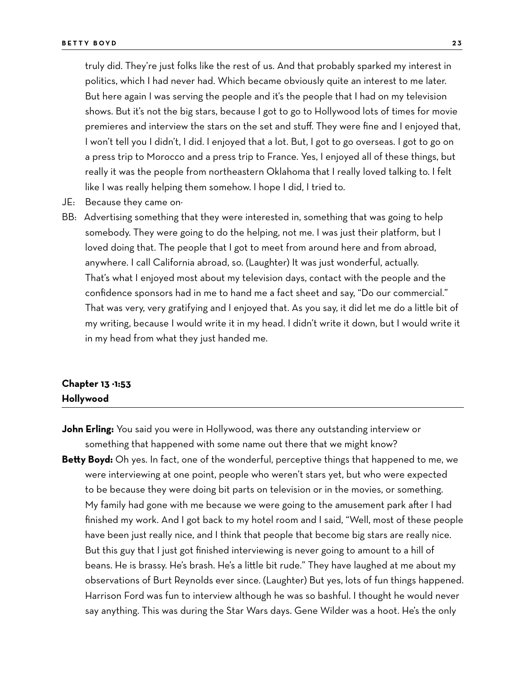truly did. They're just folks like the rest of us. And that probably sparked my interest in politics, which I had never had. Which became obviously quite an interest to me later. But here again I was serving the people and it's the people that I had on my television shows. But it's not the big stars, because I got to go to Hollywood lots of times for movie premieres and interview the stars on the set and stuff. They were fine and I enjoyed that, I won't tell you I didn't, I did. I enjoyed that a lot. But, I got to go overseas. I got to go on a press trip to Morocco and a press trip to France. Yes, I enjoyed all of these things, but really it was the people from northeastern Oklahoma that I really loved talking to. I felt like I was really helping them somehow. I hope I did, I tried to.

- JE: Because they came on−
- BB: Advertising something that they were interested in, something that was going to help somebody. They were going to do the helping, not me. I was just their platform, but I loved doing that. The people that I got to meet from around here and from abroad, anywhere. I call California abroad, so. (Laughter) It was just wonderful, actually. That's what I enjoyed most about my television days, contact with the people and the confidence sponsors had in me to hand me a fact sheet and say, "Do our commercial." That was very, very gratifying and I enjoyed that. As you say, it did let me do a little bit of my writing, because I would write it in my head. I didn't write it down, but I would write it in my head from what they just handed me.

### **Chapter 13 −1:53 Hollywood**

- **John Erling:** You said you were in Hollywood, was there any outstanding interview or something that happened with some name out there that we might know?
- **Betty Boyd:** Oh yes. In fact, one of the wonderful, perceptive things that happened to me, we were interviewing at one point, people who weren't stars yet, but who were expected to be because they were doing bit parts on television or in the movies, or something. My family had gone with me because we were going to the amusement park after I had finished my work. And I got back to my hotel room and I said, "Well, most of these people have been just really nice, and I think that people that become big stars are really nice. But this guy that I just got finished interviewing is never going to amount to a hill of beans. He is brassy. He's brash. He's a little bit rude." They have laughed at me about my observations of Burt Reynolds ever since. (Laughter) But yes, lots of fun things happened. Harrison Ford was fun to interview although he was so bashful. I thought he would never say anything. This was during the Star Wars days. Gene Wilder was a hoot. He's the only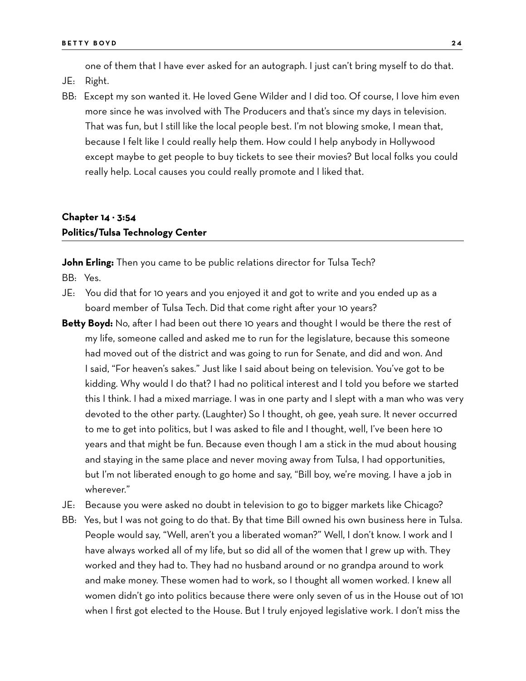one of them that I have ever asked for an autograph. I just can't bring myself to do that.

- JE: Right.
- BB: Except my son wanted it. He loved Gene Wilder and I did too. Of course, I love him even more since he was involved with The Producers and that's since my days in television. That was fun, but I still like the local people best. I'm not blowing smoke, I mean that, because I felt like I could really help them. How could I help anybody in Hollywood except maybe to get people to buy tickets to see their movies? But local folks you could really help. Local causes you could really promote and I liked that.

## **Chapter 14 − 3:54 Politics/Tulsa Technology Center**

**John Erling:** Then you came to be public relations director for Tulsa Tech?

BB: Yes.

- JE: You did that for 10 years and you enjoyed it and got to write and you ended up as a board member of Tulsa Tech. Did that come right after your 10 years?
- Betty Boyd: No, after I had been out there 10 years and thought I would be there the rest of my life, someone called and asked me to run for the legislature, because this someone had moved out of the district and was going to run for Senate, and did and won. And I said, "For heaven's sakes." Just like I said about being on television. You've got to be kidding. Why would I do that? I had no political interest and I told you before we started this I think. I had a mixed marriage. I was in one party and I slept with a man who was very devoted to the other party. (Laughter) So I thought, oh gee, yeah sure. It never occurred to me to get into politics, but I was asked to file and I thought, well, I've been here 10 years and that might be fun. Because even though I am a stick in the mud about housing and staying in the same place and never moving away from Tulsa, I had opportunities, but I'm not liberated enough to go home and say, "Bill boy, we're moving. I have a job in wherever."
- JE: Because you were asked no doubt in television to go to bigger markets like Chicago?
- BB: Yes, but I was not going to do that. By that time Bill owned his own business here in Tulsa. People would say, "Well, aren't you a liberated woman?" Well, I don't know. I work and I have always worked all of my life, but so did all of the women that I grew up with. They worked and they had to. They had no husband around or no grandpa around to work and make money. These women had to work, so I thought all women worked. I knew all women didn't go into politics because there were only seven of us in the House out of 101 when I first got elected to the House. But I truly enjoyed legislative work. I don't miss the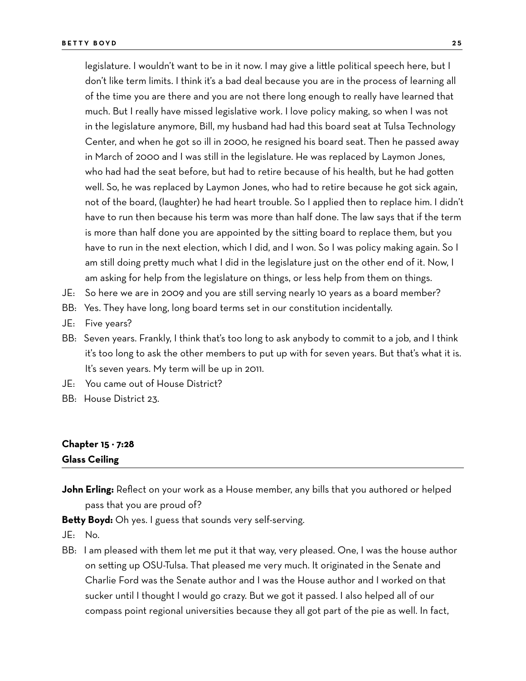legislature. I wouldn't want to be in it now. I may give a little political speech here, but I don't like term limits. I think it's a bad deal because you are in the process of learning all of the time you are there and you are not there long enough to really have learned that much. But I really have missed legislative work. I love policy making, so when I was not in the legislature anymore, Bill, my husband had had this board seat at Tulsa Technology Center, and when he got so ill in 2000, he resigned his board seat. Then he passed away in March of 2000 and I was still in the legislature. He was replaced by Laymon Jones, who had had the seat before, but had to retire because of his health, but he had gotten well. So, he was replaced by Laymon Jones, who had to retire because he got sick again, not of the board, (laughter) he had heart trouble. So I applied then to replace him. I didn't have to run then because his term was more than half done. The law says that if the term is more than half done you are appointed by the sitting board to replace them, but you have to run in the next election, which I did, and I won. So I was policy making again. So I am still doing pretty much what I did in the legislature just on the other end of it. Now, I am asking for help from the legislature on things, or less help from them on things.

- JE: So here we are in 2009 and you are still serving nearly 10 years as a board member?
- BB: Yes. They have long, long board terms set in our constitution incidentally.
- JE: Five years?
- BB: Seven years. Frankly, I think that's too long to ask anybody to commit to a job, and I think it's too long to ask the other members to put up with for seven years. But that's what it is. It's seven years. My term will be up in 2011.
- JE: You came out of House District?
- BB: House District 23.

## **Chapter 15 − 7:28 Glass Ceiling**

**John Erling:** Reflect on your work as a House member, any bills that you authored or helped pass that you are proud of?

**Betty Boyd:** Oh yes. I guess that sounds very self-serving.

- JE: No.
- BB: I am pleased with them let me put it that way, very pleased. One, I was the house author on setting up OSU-Tulsa. That pleased me very much. It originated in the Senate and Charlie Ford was the Senate author and I was the House author and I worked on that sucker until I thought I would go crazy. But we got it passed. I also helped all of our compass point regional universities because they all got part of the pie as well. In fact,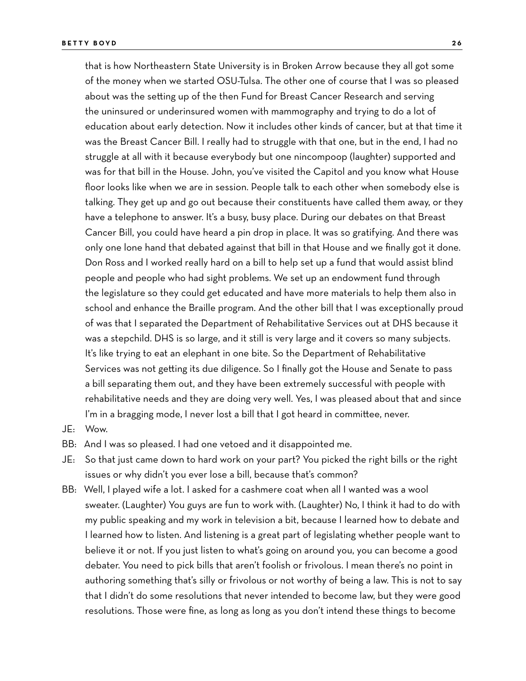that is how Northeastern State University is in Broken Arrow because they all got some of the money when we started OSU-Tulsa. The other one of course that I was so pleased about was the setting up of the then Fund for Breast Cancer Research and serving the uninsured or underinsured women with mammography and trying to do a lot of education about early detection. Now it includes other kinds of cancer, but at that time it was the Breast Cancer Bill. I really had to struggle with that one, but in the end, I had no struggle at all with it because everybody but one nincompoop (laughter) supported and was for that bill in the House. John, you've visited the Capitol and you know what House floor looks like when we are in session. People talk to each other when somebody else is talking. They get up and go out because their constituents have called them away, or they have a telephone to answer. It's a busy, busy place. During our debates on that Breast Cancer Bill, you could have heard a pin drop in place. It was so gratifying. And there was only one lone hand that debated against that bill in that House and we finally got it done. Don Ross and I worked really hard on a bill to help set up a fund that would assist blind people and people who had sight problems. We set up an endowment fund through the legislature so they could get educated and have more materials to help them also in school and enhance the Braille program. And the other bill that I was exceptionally proud of was that I separated the Department of Rehabilitative Services out at DHS because it was a stepchild. DHS is so large, and it still is very large and it covers so many subjects. It's like trying to eat an elephant in one bite. So the Department of Rehabilitative Services was not getting its due diligence. So I finally got the House and Senate to pass a bill separating them out, and they have been extremely successful with people with rehabilitative needs and they are doing very well. Yes, I was pleased about that and since I'm in a bragging mode, I never lost a bill that I got heard in committee, never.

- JE: Wow.
- BB: And I was so pleased. I had one vetoed and it disappointed me.
- JE: So that just came down to hard work on your part? You picked the right bills or the right issues or why didn't you ever lose a bill, because that's common?
- BB: Well, I played wife a lot. I asked for a cashmere coat when all I wanted was a wool sweater. (Laughter) You guys are fun to work with. (Laughter) No, I think it had to do with my public speaking and my work in television a bit, because I learned how to debate and I learned how to listen. And listening is a great part of legislating whether people want to believe it or not. If you just listen to what's going on around you, you can become a good debater. You need to pick bills that aren't foolish or frivolous. I mean there's no point in authoring something that's silly or frivolous or not worthy of being a law. This is not to say that I didn't do some resolutions that never intended to become law, but they were good resolutions. Those were fine, as long as long as you don't intend these things to become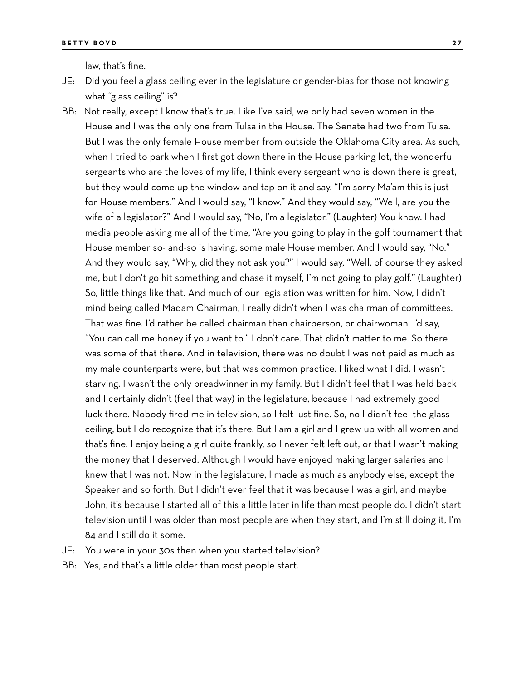law, that's fine.

- JE: Did you feel a glass ceiling ever in the legislature or gender-bias for those not knowing what "glass ceiling" is?
- BB: Not really, except I know that's true. Like I've said, we only had seven women in the House and I was the only one from Tulsa in the House. The Senate had two from Tulsa. But I was the only female House member from outside the Oklahoma City area. As such, when I tried to park when I first got down there in the House parking lot, the wonderful sergeants who are the loves of my life, I think every sergeant who is down there is great, but they would come up the window and tap on it and say. "I'm sorry Ma'am this is just for House members." And I would say, "I know." And they would say, "Well, are you the wife of a legislator?" And I would say, "No, I'm a legislator." (Laughter) You know. I had media people asking me all of the time, "Are you going to play in the golf tournament that House member so- and-so is having, some male House member. And I would say, "No." And they would say, "Why, did they not ask you?" I would say, "Well, of course they asked me, but I don't go hit something and chase it myself, I'm not going to play golf." (Laughter) So, little things like that. And much of our legislation was written for him. Now, I didn't mind being called Madam Chairman, I really didn't when I was chairman of committees. That was fine. I'd rather be called chairman than chairperson, or chairwoman. I'd say, "You can call me honey if you want to." I don't care. That didn't matter to me. So there was some of that there. And in television, there was no doubt I was not paid as much as my male counterparts were, but that was common practice. I liked what I did. I wasn't starving. I wasn't the only breadwinner in my family. But I didn't feel that I was held back and I certainly didn't (feel that way) in the legislature, because I had extremely good luck there. Nobody fired me in television, so I felt just fine. So, no I didn't feel the glass ceiling, but I do recognize that it's there. But I am a girl and I grew up with all women and that's fine. I enjoy being a girl quite frankly, so I never felt left out, or that I wasn't making the money that I deserved. Although I would have enjoyed making larger salaries and I knew that I was not. Now in the legislature, I made as much as anybody else, except the Speaker and so forth. But I didn't ever feel that it was because I was a girl, and maybe John, it's because I started all of this a little later in life than most people do. I didn't start television until I was older than most people are when they start, and I'm still doing it, I'm 84 and I still do it some.
- JE: You were in your 30s then when you started television?
- BB: Yes, and that's a little older than most people start.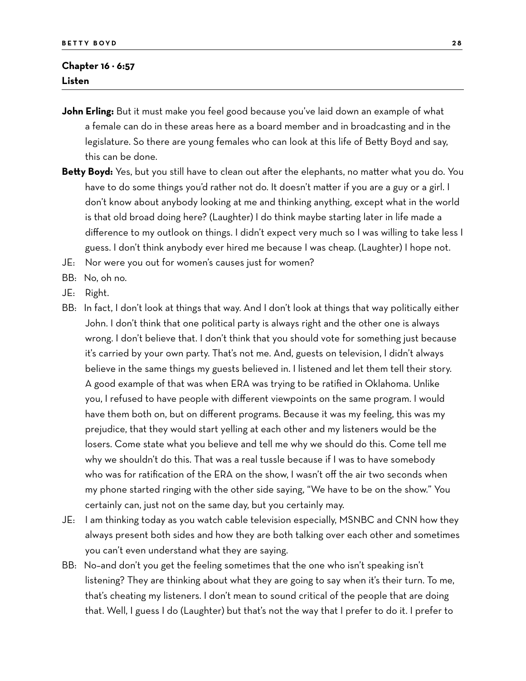#### **Chapter 16 − 6:57 Listen**

- **John Erling:** But it must make you feel good because you've laid down an example of what a female can do in these areas here as a board member and in broadcasting and in the legislature. So there are young females who can look at this life of Betty Boyd and say, this can be done.
- **Betty Boyd:** Yes, but you still have to clean out after the elephants, no matter what you do. You have to do some things you'd rather not do. It doesn't matter if you are a guy or a girl. I don't know about anybody looking at me and thinking anything, except what in the world is that old broad doing here? (Laughter) I do think maybe starting later in life made a difference to my outlook on things. I didn't expect very much so I was willing to take less I guess. I don't think anybody ever hired me because I was cheap. (Laughter) I hope not.
- JE: Nor were you out for women's causes just for women?
- BB: No, oh no.
- JE: Right.
- BB: In fact, I don't look at things that way. And I don't look at things that way politically either John. I don't think that one political party is always right and the other one is always wrong. I don't believe that. I don't think that you should vote for something just because it's carried by your own party. That's not me. And, guests on television, I didn't always believe in the same things my guests believed in. I listened and let them tell their story. A good example of that was when ERA was trying to be ratified in Oklahoma. Unlike you, I refused to have people with different viewpoints on the same program. I would have them both on, but on different programs. Because it was my feeling, this was my prejudice, that they would start yelling at each other and my listeners would be the losers. Come state what you believe and tell me why we should do this. Come tell me why we shouldn't do this. That was a real tussle because if I was to have somebody who was for ratification of the ERA on the show, I wasn't off the air two seconds when my phone started ringing with the other side saying, "We have to be on the show." You certainly can, just not on the same day, but you certainly may.
- JE: I am thinking today as you watch cable television especially, MSNBC and CNN how they always present both sides and how they are both talking over each other and sometimes you can't even understand what they are saying.
- BB: No–and don't you get the feeling sometimes that the one who isn't speaking isn't listening? They are thinking about what they are going to say when it's their turn. To me, that's cheating my listeners. I don't mean to sound critical of the people that are doing that. Well, I guess I do (Laughter) but that's not the way that I prefer to do it. I prefer to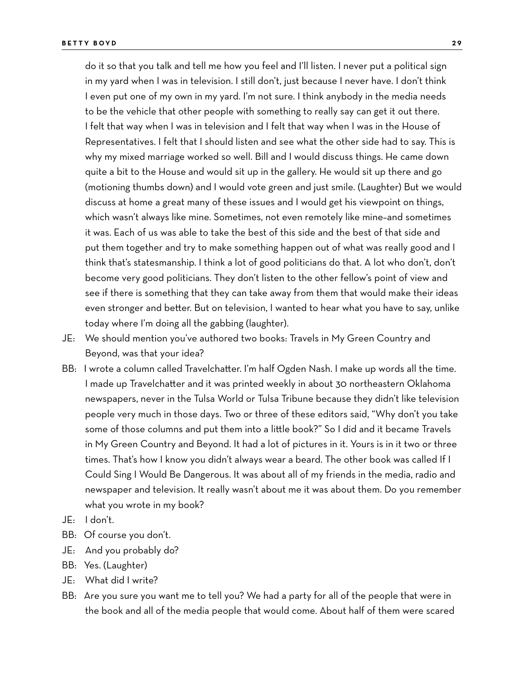do it so that you talk and tell me how you feel and I'll listen. I never put a political sign in my yard when I was in television. I still don't, just because I never have. I don't think I even put one of my own in my yard. I'm not sure. I think anybody in the media needs to be the vehicle that other people with something to really say can get it out there. I felt that way when I was in television and I felt that way when I was in the House of Representatives. I felt that I should listen and see what the other side had to say. This is why my mixed marriage worked so well. Bill and I would discuss things. He came down quite a bit to the House and would sit up in the gallery. He would sit up there and go (motioning thumbs down) and I would vote green and just smile. (Laughter) But we would discuss at home a great many of these issues and I would get his viewpoint on things, which wasn't always like mine. Sometimes, not even remotely like mine–and sometimes it was. Each of us was able to take the best of this side and the best of that side and put them together and try to make something happen out of what was really good and I think that's statesmanship. I think a lot of good politicians do that. A lot who don't, don't become very good politicians. They don't listen to the other fellow's point of view and see if there is something that they can take away from them that would make their ideas even stronger and better. But on television, I wanted to hear what you have to say, unlike today where I'm doing all the gabbing (laughter).

- JE: We should mention you've authored two books: Travels in My Green Country and Beyond, was that your idea?
- BB: I wrote a column called Travelchatter. I'm half Ogden Nash. I make up words all the time. I made up Travelchatter and it was printed weekly in about 30 northeastern Oklahoma newspapers, never in the Tulsa World or Tulsa Tribune because they didn't like television people very much in those days. Two or three of these editors said, "Why don't you take some of those columns and put them into a little book?" So I did and it became Travels in My Green Country and Beyond. It had a lot of pictures in it. Yours is in it two or three times. That's how I know you didn't always wear a beard. The other book was called If I Could Sing I Would Be Dangerous. It was about all of my friends in the media, radio and newspaper and television. It really wasn't about me it was about them. Do you remember what you wrote in my book?
- JE: I don't.
- BB: Of course you don't.
- JE: And you probably do?
- BB: Yes. (Laughter)
- JE: What did I write?
- BB: Are you sure you want me to tell you? We had a party for all of the people that were in the book and all of the media people that would come. About half of them were scared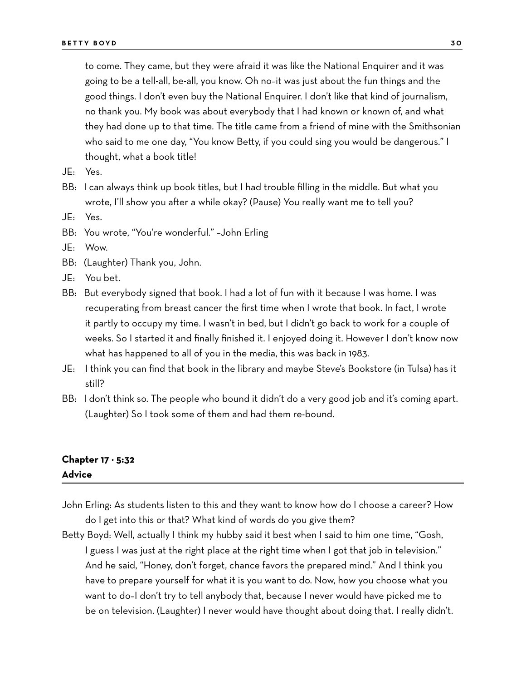to come. They came, but they were afraid it was like the National Enquirer and it was going to be a tell-all, be-all, you know. Oh no–it was just about the fun things and the good things. I don't even buy the National Enquirer. I don't like that kind of journalism, no thank you. My book was about everybody that I had known or known of, and what they had done up to that time. The title came from a friend of mine with the Smithsonian who said to me one day, "You know Betty, if you could sing you would be dangerous." I thought, what a book title!

- JE: Yes.
- BB: I can always think up book titles, but I had trouble filling in the middle. But what you wrote, I'll show you after a while okay? (Pause) You really want me to tell you?
- JE: Yes.
- BB: You wrote, "You're wonderful." –John Erling
- JE: Wow.
- BB: (Laughter) Thank you, John.
- JE: You bet.
- BB: But everybody signed that book. I had a lot of fun with it because I was home. I was recuperating from breast cancer the first time when I wrote that book. In fact, I wrote it partly to occupy my time. I wasn't in bed, but I didn't go back to work for a couple of weeks. So I started it and finally finished it. I enjoyed doing it. However I don't know now what has happened to all of you in the media, this was back in 1983.
- JE: I think you can find that book in the library and maybe Steve's Bookstore (in Tulsa) has it still?
- BB: I don't think so. The people who bound it didn't do a very good job and it's coming apart. (Laughter) So I took some of them and had them re-bound.

### **Chapter 17 − 5:32 Advice**

- John Erling: As students listen to this and they want to know how do I choose a career? How do I get into this or that? What kind of words do you give them?
- Betty Boyd: Well, actually I think my hubby said it best when I said to him one time, "Gosh, I guess I was just at the right place at the right time when I got that job in television." And he said, "Honey, don't forget, chance favors the prepared mind." And I think you have to prepare yourself for what it is you want to do. Now, how you choose what you want to do–I don't try to tell anybody that, because I never would have picked me to be on television. (Laughter) I never would have thought about doing that. I really didn't.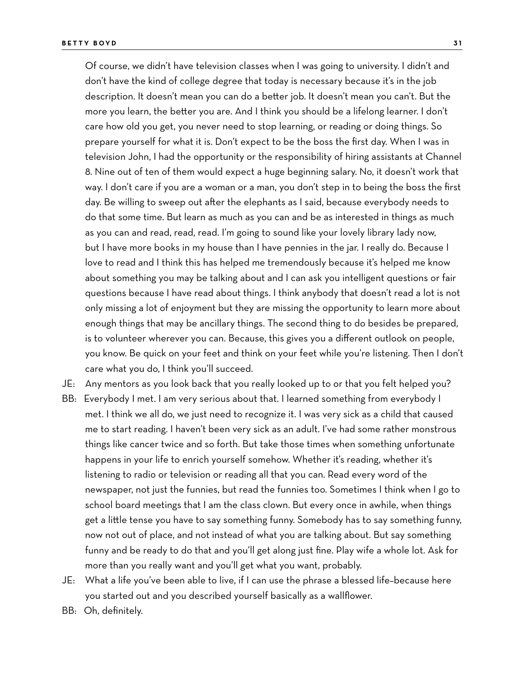Of course, we didn't have television classes when I was going to university. I didn't and don't have the kind of college degree that today is necessary because it's in the job description. It doesn't mean you can do a better job. It doesn't mean you can't. But the more you learn, the better you are. And I think you should be a lifelong learner. I don't care how old you get, you never need to stop learning, or reading or doing things. So prepare yourself for what it is. Don't expect to be the boss the first day. When I was in television John, I had the opportunity or the responsibility of hiring assistants at Channel 8. Nine out of ten of them would expect a huge beginning salary. No, it doesn't work that way. I don't care if you are a woman or a man, you don't step in to being the boss the first day. Be willing to sweep out after the elephants as I said, because everybody needs to do that some time. But learn as much as you can and be as interested in things as much as you can and read, read, read. I'm going to sound like your lovely library lady now, but I have more books in my house than I have pennies in the jar. I really do. Because I love to read and I think this has helped me tremendously because it's helped me know about something you may be talking about and I can ask you intelligent questions or fair questions because I have read about things. I think anybody that doesn't read a lot is not only missing a lot of enjoyment but they are missing the opportunity to learn more about enough things that may be ancillary things. The second thing to do besides be prepared, is to volunteer wherever you can. Because, this gives you a different outlook on people, you know. Be quick on your feet and think on your feet while you're listening. Then I don't care what you do, I think you'll succeed.

JE: Any mentors as you look back that you really looked up to or that you felt helped you?

- BB: Everybody I met. I am very serious about that. I learned something from everybody I met. I think we all do, we just need to recognize it. I was very sick as a child that caused me to start reading. I haven't been very sick as an adult. I've had some rather monstrous things like cancer twice and so forth. But take those times when something unfortunate happens in your life to enrich yourself somehow. Whether it's reading, whether it's listening to radio or television or reading all that you can. Read every word of the newspaper, not just the funnies, but read the funnies too. Sometimes I think when I go to school board meetings that I am the class clown. But every once in awhile, when things get a little tense you have to say something funny. Somebody has to say something funny, now not out of place, and not instead of what you are talking about. But say something funny and be ready to do that and you'll get along just fine. Play wife a whole lot. Ask for more than you really want and you'll get what you want, probably.
- JE: What a life you've been able to live, if I can use the phrase a blessed life–because here you started out and you described yourself basically as a wallflower.
- BB: Oh, definitely.